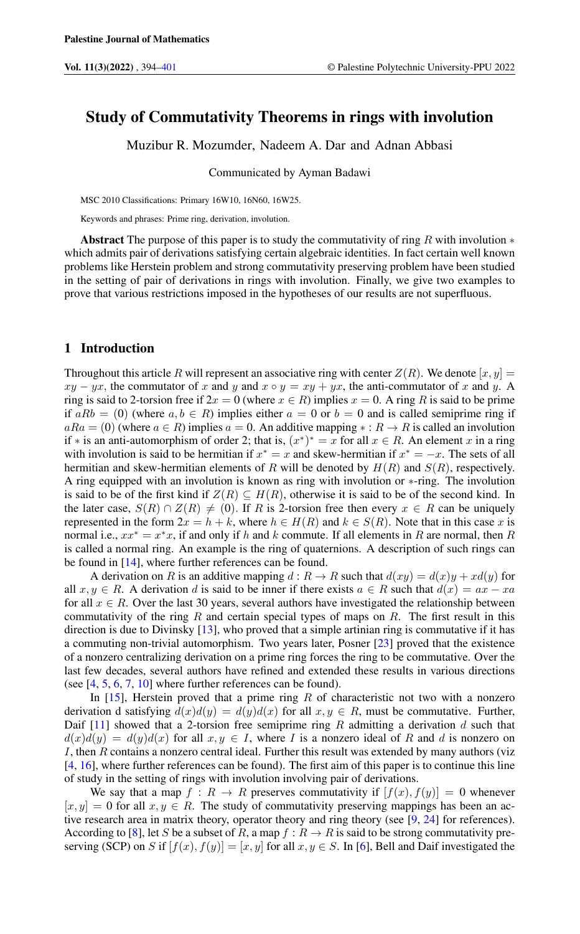# Study of Commutativity Theorems in rings with involution

Muzibur R. Mozumder, Nadeem A. Dar and Adnan Abbasi

Communicated by Ayman Badawi

MSC 2010 Classifications: Primary 16W10, 16N60, 16W25.

Keywords and phrases: Prime ring, derivation, involution.

Abstract The purpose of this paper is to study the commutativity of ring R with involution  $*$ which admits pair of derivations satisfying certain algebraic identities. In fact certain well known problems like Herstein problem and strong commutativity preserving problem have been studied in the setting of pair of derivations in rings with involution. Finally, we give two examples to prove that various restrictions imposed in the hypotheses of our results are not superfluous.

## 1 Introduction

Throughout this article R will represent an associative ring with center  $Z(R)$ . We denote  $[x, y] =$  $xy - yx$ , the commutator of x and y and  $x \circ y = xy + yx$ , the anti-commutator of x and y. A ring is said to 2-torsion free if  $2x = 0$  (where  $x \in R$ ) implies  $x = 0$ . A ring R is said to be prime if  $aRb = (0)$  (where  $a, b \in R$ ) implies either  $a = 0$  or  $b = 0$  and is called semiprime ring if  $aRa = (0)$  (where  $a \in R$ ) implies  $a = 0$ . An additive mapping  $\ast : R \to R$  is called an involution if \* is an anti-automorphism of order 2; that is,  $(x^*)^* = x$  for all  $x \in R$ . An element x in a ring with involution is said to be hermitian if  $x^* = x$  and skew-hermitian if  $x^* = -x$ . The sets of all hermitian and skew-hermitian elements of R will be denoted by  $H(R)$  and  $S(R)$ , respectively. A ring equipped with an involution is known as ring with involution or ∗-ring. The involution is said to be of the first kind if  $Z(R) \subseteq H(R)$ , otherwise it is said to be of the second kind. In the later case,  $S(R) \cap Z(R) \neq (0)$ . If R is 2-torsion free then every  $x \in R$  can be uniquely represented in the form  $2x = h + k$ , where  $h \in H(R)$  and  $k \in S(R)$ . Note that in this case x is normal i.e.,  $xx^* = x^*x$ , if and only if h and k commute. If all elements in R are normal, then R is called a normal ring. An example is the ring of quaternions. A description of such rings can be found in [\[14\]](#page-6-1), where further references can be found.

A derivation on R is an additive mapping  $d : R \to R$  such that  $d(xy) = d(x)y + xd(y)$  for all  $x, y \in R$ . A derivation d is said to be inner if there exists  $a \in R$  such that  $d(x) = ax - xa$ for all  $x \in R$ . Over the last 30 years, several authors have investigated the relationship between commutativity of the ring  $R$  and certain special types of maps on  $R$ . The first result in this direction is due to Divinsky [\[13\]](#page-6-2), who proved that a simple artinian ring is commutative if it has a commuting non-trivial automorphism. Two years later, Posner [\[23\]](#page-7-0) proved that the existence of a nonzero centralizing derivation on a prime ring forces the ring to be commutative. Over the last few decades, several authors have refined and extended these results in various directions (see [\[4,](#page-6-3) [5,](#page-6-4) [6,](#page-6-5) [7,](#page-6-6) [10\]](#page-6-7) where further references can be found).

In  $[15]$ , Herstein proved that a prime ring R of characteristic not two with a nonzero derivation d satisfying  $d(x)d(y) = d(y)d(x)$  for all  $x, y \in R$ , must be commutative. Further, Daif  $[11]$  showed that a 2-torsion free semiprime ring R admitting a derivation d such that  $d(x)d(y) = d(y)d(x)$  for all  $x, y \in I$ , where I is a nonzero ideal of R and d is nonzero on I, then R contains a nonzero central ideal. Further this result was extended by many authors (viz [\[4,](#page-6-3) [16\]](#page-6-10), where further references can be found). The first aim of this paper is to continue this line of study in the setting of rings with involution involving pair of derivations.

We say that a map  $f: R \to R$  preserves commutativity if  $[f(x), f(y)] = 0$  whenever  $[x, y] = 0$  for all  $x, y \in R$ . The study of commutativity preserving mappings has been an active research area in matrix theory, operator theory and ring theory (see [\[9,](#page-6-11) [24\]](#page-7-1) for references). According to [\[8\]](#page-6-12), let S be a subset of R, a map  $f: R \to R$  is said to be strong commutativity preserving (SCP) on S if  $[f(x), f(y)] = [x, y]$  for all  $x, y \in S$ . In [\[6\]](#page-6-5), Bell and Daif investigated the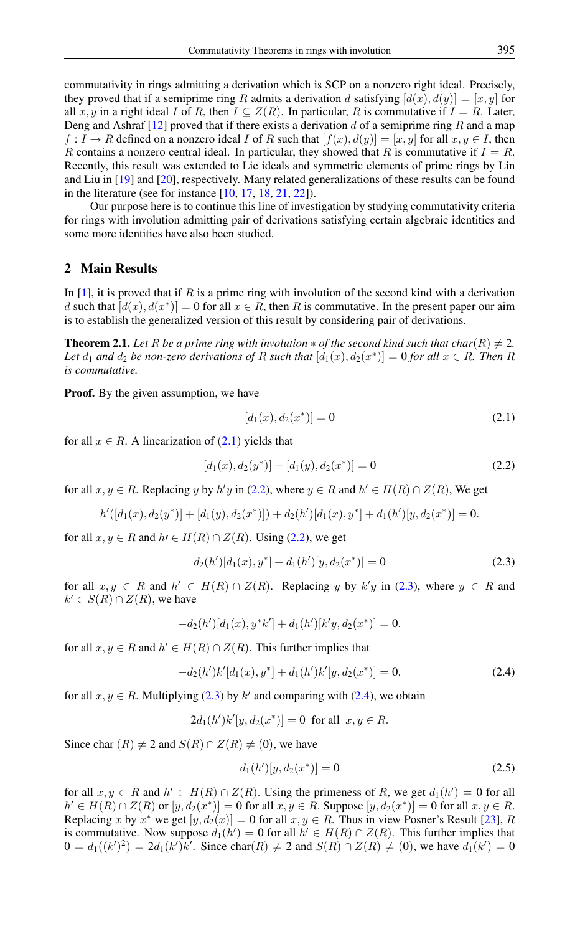commutativity in rings admitting a derivation which is SCP on a nonzero right ideal. Precisely, they proved that if a semiprime ring R admits a derivation d satisfying  $[d(x), d(y)] = [x, y]$  for all x, y in a right ideal I of R, then  $I \subseteq Z(R)$ . In particular, R is commutative if  $I = R$ . Later, Deng and Ashraf  $[12]$  proved that if there exists a derivation d of a semiprime ring R and a map  $f: I \to R$  defined on a nonzero ideal I of R such that  $[f(x), d(y)] = [x, y]$  for all  $x, y \in I$ , then R contains a nonzero central ideal. In particular, they showed that R is commutative if  $I = R$ . Recently, this result was extended to Lie ideals and symmetric elements of prime rings by Lin and Liu in [\[19\]](#page-7-2) and [\[20\]](#page-7-3), respectively. Many related generalizations of these results can be found in the literature (see for instance  $[10, 17, 18, 21, 22]$  $[10, 17, 18, 21, 22]$  $[10, 17, 18, 21, 22]$  $[10, 17, 18, 21, 22]$  $[10, 17, 18, 21, 22]$  $[10, 17, 18, 21, 22]$  $[10, 17, 18, 21, 22]$  $[10, 17, 18, 21, 22]$  $[10, 17, 18, 21, 22]$ ).

Our purpose here is to continue this line of investigation by studying commutativity criteria for rings with involution admitting pair of derivations satisfying certain algebraic identities and some more identities have also been studied.

# 2 Main Results

In  $[1]$ , it is proved that if R is a prime ring with involution of the second kind with a derivation d such that  $[d(x), d(x^*)] = 0$  for all  $x \in R$ , then R is commutative. In the present paper our aim is to establish the generalized version of this result by considering pair of derivations.

<span id="page-1-4"></span>**Theorem 2.1.** *Let* R *be a prime ring with involution*  $*$  *of the second kind such that char(R)*  $\neq$  2*.* Let  $d_1$  and  $d_2$  be non-zero derivations of R such that  $[d_1(x), d_2(x^*)] = 0$  for all  $x \in R$ . Then R *is commutative.*

**Proof.** By the given assumption, we have

<span id="page-1-1"></span><span id="page-1-0"></span>
$$
[d_1(x), d_2(x^*)] = 0 \tag{2.1}
$$

for all  $x \in R$ . A linearization of  $(2.1)$  $(2.1)$  $(2.1)$  yields that

$$
[d_1(x), d_2(y^*)] + [d_1(y), d_2(x^*)] = 0
$$
\n(2.2)

for all  $x, y \in R$ . Replacing y by  $h'y$  in [\(2.2\)](#page-1-1), where  $y \in R$  and  $h' \in H(R) \cap Z(R)$ , We get

$$
h'([d_1(x), d_2(y^*)] + [d_1(y), d_2(x^*)]) + d_2(h')[d_1(x), y^*] + d_1(h')[y, d_2(x^*)] = 0.
$$

for all  $x, y \in R$  and  $h \in H(R) \cap Z(R)$ . Using [\(2.2\)](#page-1-1), we get

<span id="page-1-2"></span>
$$
d_2(h')[d_1(x), y^*] + d_1(h')[y, d_2(x^*)] = 0
$$
\n(2.3)

for all  $x, y \in R$  and  $h' \in H(R) \cap Z(R)$ . Replacing y by  $k'y$  in [\(2.3\)](#page-1-2), where  $y \in R$  and  $k' \in S(R) \cap Z(R)$ , we have

$$
-d_2(h')[d_1(x), y^*k'] + d_1(h')[k'y, d_2(x^*)] = 0.
$$

for all  $x, y \in R$  and  $h' \in H(R) \cap Z(R)$ . This further implies that

$$
-d_2(h')k'[d_1(x), y^*] + d_1(h')k'[y, d_2(x^*)] = 0.
$$
\n(2.4)

for all  $x, y \in R$ . Multiplying [\(2.3\)](#page-1-2) by k' and comparing with [\(2.4\)](#page-1-3), we obtain

$$
2d_1(h')k'[y, d_2(x^*)] = 0
$$
 for all  $x, y \in R$ .

Since char  $(R) \neq 2$  and  $S(R) \cap Z(R) \neq (0)$ , we have

<span id="page-1-3"></span>
$$
d_1(h')[y, d_2(x^*)] = 0 \t\t(2.5)
$$

for all  $x, y \in R$  and  $h' \in H(R) \cap Z(R)$ . Using the primeness of R, we get  $d_1(h') = 0$  for all  $h' \in H(R) \cap Z(R)$  or  $[y, d_2(x^*)] = 0$  for all  $x, y \in R$ . Suppose  $[y, d_2(x^*)] = 0$  for all  $x, y \in R$ . Replacing x by  $x^*$  we get  $[y, d_2(x)] = 0$  for all  $x, y \in R$ . Thus in view Posner's Result [\[23\]](#page-7-0), R is commutative. Now suppose  $d_1(h') = 0$  for all  $h' \in H(R) \cap Z(R)$ . This further implies that  $0 = d_1((k')^2) = 2d_1(k')k'$ . Since char(R)  $\neq 2$  and  $S(R) \cap Z(R) \neq (0)$ , we have  $d_1(k') = 0$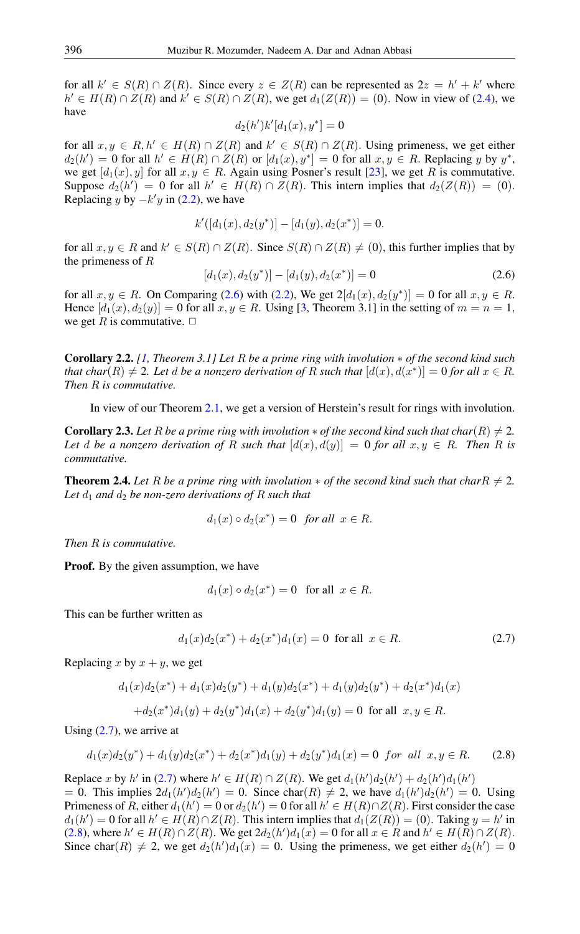for all  $k' \in S(R) \cap Z(R)$ . Since every  $z \in Z(R)$  can be represented as  $2z = h' + k'$  where  $h' \in H(R) \cap Z(R)$  and  $k' \in S(R) \cap Z(R)$ , we get  $d_1(Z(R)) = (0)$ . Now in view of [\(2.4\)](#page-1-3), we have

$$
d_2(h')k'[d_1(x), y^*] = 0
$$

for all  $x, y \in R, h' \in H(R) \cap Z(R)$  and  $k' \in S(R) \cap Z(R)$ . Using primeness, we get either  $d_2(h') = 0$  for all  $h' \in H(R) \cap Z(R)$  or  $[d_1(x), y^*] = 0$  for all  $x, y \in R$ . Replacing y by  $y^*$ , we get  $[d_1(x), y]$  for all  $x, y \in R$ . Again using Posner's result [\[23\]](#page-7-0), we get R is commutative. Suppose  $d_2(h') = 0$  for all  $h' \in H(R) \cap Z(R)$ . This intern implies that  $d_2(Z(R)) = (0)$ . Replacing y by  $-k'y$  in [\(2.2\)](#page-1-1), we have

$$
k'([d_1(x), d_2(y^*)] - [d_1(y), d_2(x^*)] = 0.
$$

for all  $x, y \in R$  and  $k' \in S(R) \cap Z(R)$ . Since  $S(R) \cap Z(R) \neq (0)$ , this further implies that by the primeness of  $R$ 

<span id="page-2-0"></span>
$$
[d_1(x), d_2(y^*)] - [d_1(y), d_2(x^*)] = 0
$$
\n(2.6)

for all  $x, y \in R$ . On Comparing [\(2.6\)](#page-2-0) with [\(2.2\)](#page-1-1), We get  $2[d_1(x), d_2(y^*)] = 0$  for all  $x, y \in R$ . Hence  $[d_1(x), d_2(y)] = 0$  for all  $x, y \in R$ . Using [\[3,](#page-6-15) Theorem 3.1] in the setting of  $m = n = 1$ , we get R is commutative.  $\Box$ 

Corollary 2.2. *[\[1,](#page-6-14) Theorem 3.1] Let* R *be a prime ring with involution* ∗ *of the second kind such that char*( $R$ )  $\neq$  2*. Let* d *be a nonzero derivation of* R such that  $[d(x), d(x^*)] = 0$  for all  $x \in R$ *. Then* R *is commutative.*

In view of our Theorem 2.[1,](#page-1-4) we get a version of Herstein's result for rings with involution.

**Corollary 2.3.** Let R be a prime ring with involution  $*$  of the second kind such that char(R)  $\neq$  2. Let d be a nonzero derivation of R such that  $[d(x), d(y)] = 0$  for all  $x, y \in R$ . Then R is *commutative.*

**Theorem 2.4.** Let R be a prime ring with involution  $*$  of the second kind such that char  $R \neq 2$ . Let  $d_1$  and  $d_2$  be non-zero derivations of R such that

$$
d_1(x) \circ d_2(x^*) = 0 \text{ for all } x \in R.
$$

*Then* R *is commutative.*

**Proof.** By the given assumption, we have

<span id="page-2-1"></span>
$$
d_1(x) \circ d_2(x^*) = 0 \quad \text{for all} \ \ x \in R.
$$

This can be further written as

$$
d_1(x)d_2(x^*) + d_2(x^*)d_1(x) = 0 \text{ for all } x \in R.
$$
 (2.7)

Replacing x by  $x + y$ , we get

<span id="page-2-2"></span>
$$
d_1(x)d_2(x^*) + d_1(x)d_2(y^*) + d_1(y)d_2(x^*) + d_1(y)d_2(y^*) + d_2(x^*)d_1(x)
$$
  
+
$$
d_2(x^*)d_1(y) + d_2(y^*)d_1(x) + d_2(y^*)d_1(y) = 0 \text{ for all } x, y \in R.
$$

Using  $(2.7)$ , we arrive at

$$
d_1(x)d_2(y^*) + d_1(y)d_2(x^*) + d_2(x^*)d_1(y) + d_2(y^*)d_1(x) = 0 \text{ for all } x, y \in R. \tag{2.8}
$$

Replace x by h' in [\(2.7\)](#page-2-1) where  $h' \in H(R) \cap Z(R)$ . We get  $d_1(h')d_2(h') + d_2(h')d_1(h')$ = 0. This implies  $2d_1(h')d_2(h') = 0$ . Since char(R)  $\neq$  2, we have  $d_1(h')d_2(h') = 0$ . Using Primeness of R, either  $d_1(h') = 0$  or  $d_2(h') = 0$  for all  $h' \in H(R) \cap Z(R)$ . First consider the case  $d_1(h') = 0$  for all  $h' \in H(R) \cap Z(R)$ . This intern implies that  $d_1(Z(R)) = (0)$ . Taking  $y = h'$  in [\(2.8\)](#page-2-2), where  $h' \in H(R) \cap Z(R)$ . We get  $2d_2(h')d_1(x) = 0$  for all  $x \in R$  and  $h' \in H(R) \cap Z(R)$ . Since char(R)  $\neq$  2, we get  $d_2(h')d_1(x) = 0$ . Using the primeness, we get either  $d_2(h') = 0$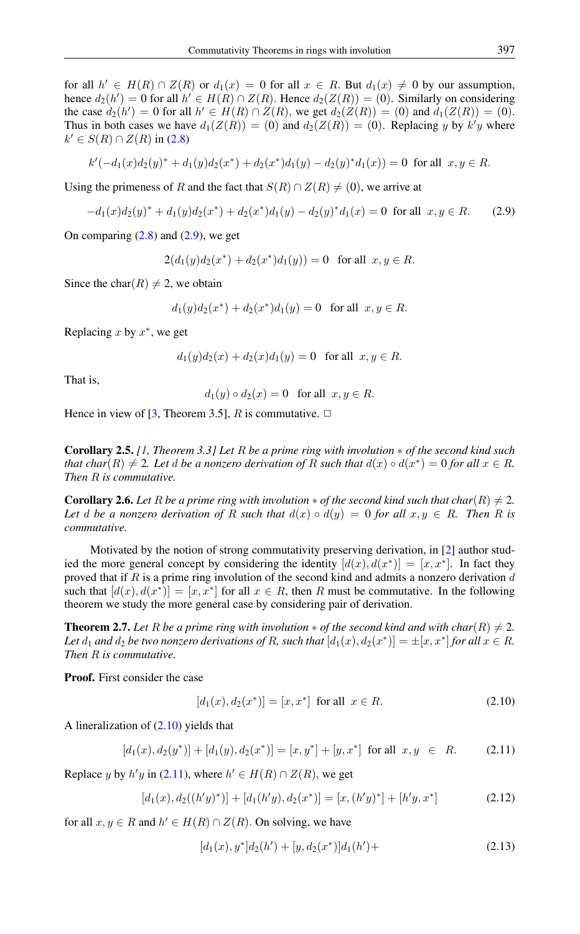for all  $h' \in H(R) \cap Z(R)$  or  $d_1(x) = 0$  for all  $x \in R$ . But  $d_1(x) \neq 0$  by our assumption, hence  $d_2(h') = 0$  for all  $h' \in H(R) \cap Z(R)$ . Hence  $d_2(Z(R)) = (0)$ . Similarly on considering the case  $d_2(h') = 0$  for all  $h' \in H(R) \cap Z(R)$ , we get  $d_2(Z(R)) = (0)$  and  $d_1(Z(R)) = (0)$ . Thus in both cases we have  $d_1(Z(R)) = (0)$  and  $d_2(Z(R)) = (0)$ . Replacing y by k'y where  $k' \in S(R) \cap Z(R)$  in [\(2.8\)](#page-2-2)

$$
k'(-d_1(x)d_2(y)^* + d_1(y)d_2(x^*) + d_2(x^*)d_1(y) - d_2(y)^*d_1(x)) = 0
$$
 for all  $x, y \in R$ .

Using the primeness of R and the fact that  $S(R) \cap Z(R) \neq (0)$ , we arrive at

$$
-d_1(x)d_2(y)^* + d_1(y)d_2(x^*) + d_2(x^*)d_1(y) - d_2(y)^*d_1(x) = 0 \text{ for all } x, y \in R. \tag{2.9}
$$

On comparing  $(2.8)$  and  $(2.9)$ , we get

<span id="page-3-0"></span>
$$
2(d_1(y)d_2(x^*) + d_2(x^*)d_1(y)) = 0 \text{ for all } x, y \in R.
$$

Since the char(R)  $\neq$  2, we obtain

$$
d_1(y)d_2(x^*) + d_2(x^*)d_1(y) = 0
$$
 for all  $x, y \in R$ .

Replacing  $x$  by  $x^*$ , we get

$$
d_1(y)d_2(x) + d_2(x)d_1(y) = 0
$$
 for all  $x, y \in R$ .

That is,

$$
d_1(y) \circ d_2(x) = 0 \quad \text{for all} \ \ x, y \in R.
$$

Hence in view of [\[3,](#page-6-15) Theorem 3.5], R is commutative.  $\Box$ 

Corollary 2.5. *[\[1,](#page-6-14) Theorem 3.3] Let* R *be a prime ring with involution* ∗ *of the second kind such that char*( $R$ )  $\neq$  2*. Let* d *be a nonzero derivation of* R such that  $d(x) \circ d(x^*) = 0$  for all  $x \in R$ . *Then* R *is commutative.*

**Corollary 2.6.** Let R be a prime ring with involution  $*$  of the second kind such that char(R)  $\neq$  2. *Let* d *be a nonzero derivation of* R *such that*  $d(x) \circ d(y) = 0$  *for all*  $x, y \in R$ *. Then* R *is commutative.*

Motivated by the notion of strong commutativity preserving derivation, in [\[2\]](#page-6-16) author studied the more general concept by considering the identity  $[d(x), d(x^*)] = [x, x^*]$ . In fact they proved that if R is a prime ring involution of the second kind and admits a nonzero derivation  $d$ such that  $[d(x), d(x^*)] = [x, x^*]$  for all  $x \in R$ , then R must be commutative. In the following theorem we study the more general case by considering pair of derivation.

<span id="page-3-4"></span>**Theorem 2.7.** Let R be a prime ring with involution  $*$  of the second kind and with char(R)  $\neq$  2. Let  $d_1$  and  $d_2$  be two nonzero derivations of R, such that  $[d_1(x), d_2(x^*)] = \pm [x, x^*]$  for all  $x \in R$ . *Then* R *is commutative.*

Proof. First consider the case

<span id="page-3-2"></span><span id="page-3-1"></span>
$$
[d_1(x), d_2(x^*)] = [x, x^*] \text{ for all } x \in R.
$$
 (2.10)

A lineralization of [\(2.10\)](#page-3-1) yields that

$$
[d_1(x), d_2(y^*)] + [d_1(y), d_2(x^*)] = [x, y^*] + [y, x^*] \text{ for all } x, y \in R. \tag{2.11}
$$

Replace y by  $h'y$  in [\(2.11\)](#page-3-2), where  $h' \in H(R) \cap Z(R)$ , we get

$$
[d_1(x), d_2((h'y)^*)] + [d_1(h'y), d_2(x^*)] = [x, (h'y)^*] + [h'y, x^*]
$$
\n(2.12)

for all  $x, y \in R$  and  $h' \in H(R) \cap Z(R)$ . On solving, we have

<span id="page-3-3"></span>
$$
[d_1(x), y^*]d_2(h') + [y, d_2(x^*)]d_1(h') + \tag{2.13}
$$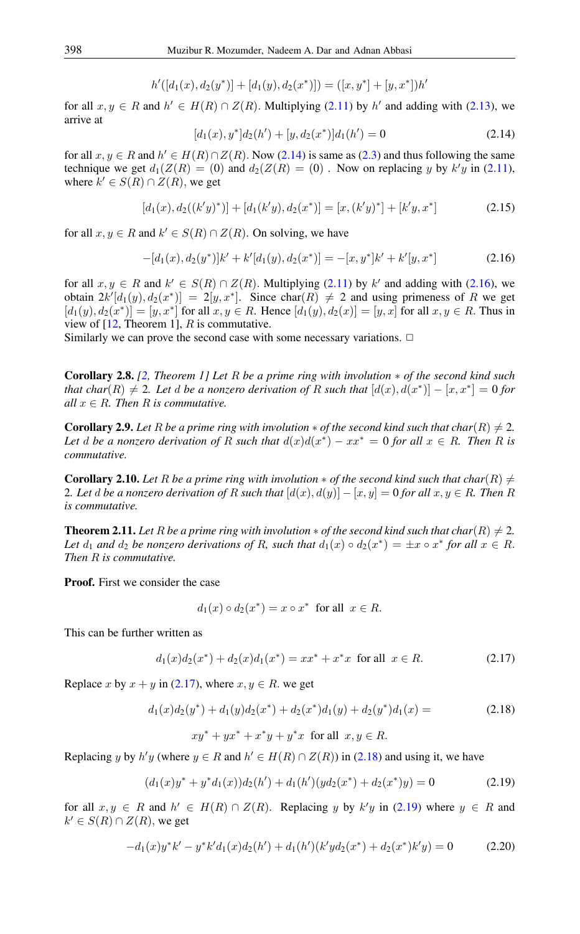$$
h'([d_1(x), d_2(y^*)] + [d_1(y), d_2(x^*)]) = ([x, y^*] + [y, x^*)h'
$$

<span id="page-4-0"></span>for all  $x, y \in R$  and  $h' \in H(R) \cap Z(R)$ . Multiplying [\(2.11\)](#page-3-2) by h' and adding with [\(2.13\)](#page-3-3), we arrive at

<span id="page-4-1"></span>
$$
[d_1(x), y^*]d_2(h') + [y, d_2(x^*)]d_1(h') = 0
$$
\n(2.14)

for all  $x, y \in R$  and  $h' \in H(R) \cap Z(R)$ . Now [\(2.14\)](#page-4-0) is same as [\(2.3\)](#page-1-2) and thus following the same technique we get  $d_1(Z(R) = (0)$  and  $d_2(Z(R) = (0)$ . Now on replacing y by  $k'y$  in [\(2.11\)](#page-3-2), where  $k' \in S(R) \cap Z(R)$ , we get

$$
[d_1(x), d_2((k'y)^*)] + [d_1(k'y), d_2(x^*)] = [x, (k'y)^*] + [k'y, x^*]
$$
\n(2.15)

for all  $x, y \in R$  and  $k' \in S(R) \cap Z(R)$ . On solving, we have

$$
-[d_1(x), d_2(y^*)]k' + k'[d_1(y), d_2(x^*)] = -[x, y^*]k' + k'[y, x^*]
$$
\n(2.16)

for all  $x, y \in R$  and  $k' \in S(R) \cap Z(R)$ . Multiplying [\(2.11\)](#page-3-2) by k' and adding with [\(2.16\)](#page-4-1), we obtain  $2k'[d_1(y), d_2(x^*)] = 2[y, x^*]$ . Since char $(R) \neq 2$  and using primeness of R we get  $[d_1(y), d_2(x^*)] = [y, x^*]$  for all  $x, y \in R$ . Hence  $[d_1(y), d_2(x)] = [y, x]$  for all  $x, y \in R$ . Thus in view of  $[12,$  Theorem 1], R is commutative.

Similarly we can prove the second case with some necessary variations.  $\Box$ 

Corollary 2.8. *[\[2,](#page-6-16) Theorem 1] Let* R *be a prime ring with involution* ∗ *of the second kind such that char* $(R) \neq 2$ . Let  $d$  *be a nonzero derivation of*  $R$  *such that*  $[d(x), d(x^*)] - [x, x^*] = 0$  for *all*  $x \in R$ *. Then*  $R$  *is commutative.* 

**Corollary 2.9.** Let R be a prime ring with involution  $*$  of the second kind such that char(R)  $\neq$  2. Let d be a nonzero derivation of R such that  $d(x)d(x^*) - xx^* = 0$  for all  $x \in R$ . Then R is *commutative.*

**Corollary 2.10.** Let R be a prime ring with involution  $*$  of the second kind such that char(R)  $\neq$ 2*. Let* d be a nonzero derivation of R such that  $[d(x), d(y)] - [x, y] = 0$  for all  $x, y \in R$ . Then R *is commutative.*

**Theorem 2.11.** *Let* R *be a prime ring with involution*  $*$  *of the second kind such that char(R)*  $\neq$  2*.* Let  $d_1$  and  $d_2$  be nonzero derivations of R, such that  $d_1(x) \circ d_2(x^*) = \pm x \circ x^*$  for all  $x \in R$ . *Then* R *is commutative.*

Proof. First we consider the case

<span id="page-4-3"></span><span id="page-4-2"></span>
$$
d_1(x) \circ d_2(x^*) = x \circ x^* \text{ for all } x \in R.
$$

This can be further written as

$$
d_1(x)d_2(x^*) + d_2(x)d_1(x^*) = xx^* + x^*x \text{ for all } x \in R.
$$
 (2.17)

Replace x by  $x + y$  in [\(2.17\)](#page-4-2), where  $x, y \in R$ . we get

$$
d_1(x)d_2(y^*) + d_1(y)d_2(x^*) + d_2(x^*)d_1(y) + d_2(y^*)d_1(x) = \tag{2.18}
$$

<span id="page-4-4"></span>
$$
xy^* + yx^* + x^*y + y^*x
$$
 for all  $x, y \in R$ .

Replacing y by  $h'y$  (where  $y \in R$  and  $h' \in H(R) \cap Z(R)$ ) in [\(2.18\)](#page-4-3) and using it, we have

<span id="page-4-5"></span>
$$
(d_1(x)y^* + y^*d_1(x))d_2(h') + d_1(h')(yd_2(x^*) + d_2(x^*)y) = 0
$$
\n(2.19)

for all  $x, y \in R$  and  $h' \in H(R) \cap Z(R)$ . Replacing y by k'y in [\(2.19\)](#page-4-4) where  $y \in R$  and  $k' \in S(R) \cap Z(R)$ , we get

$$
-d_1(x)y^*k' - y^*k'd_1(x)d_2(h') + d_1(h')(k'yd_2(x^*) + d_2(x^*)k'y) = 0
$$
\n(2.20)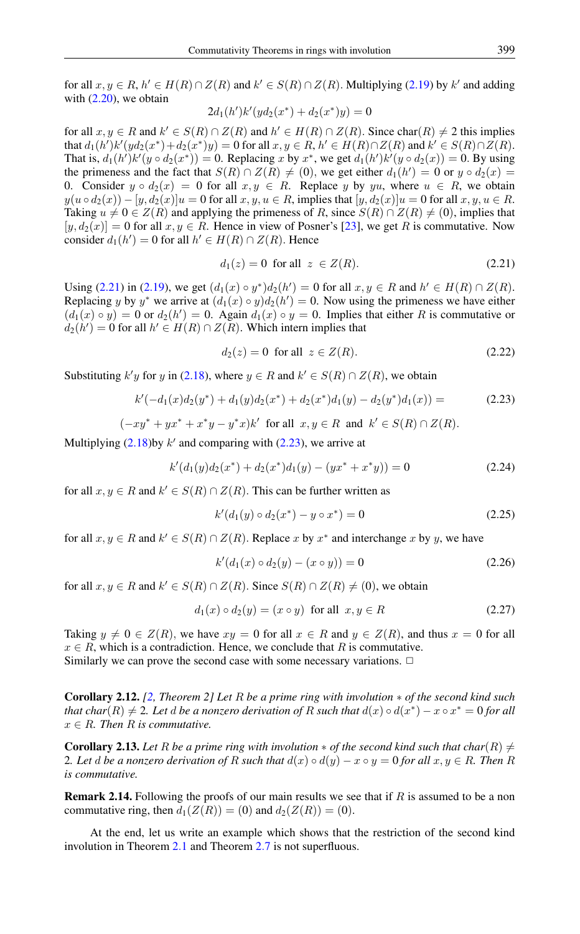for all  $x, y \in R$ ,  $h' \in H(R) \cap Z(R)$  and  $k' \in S(R) \cap Z(R)$ . Multiplying [\(2.19\)](#page-4-4) by  $k'$  and adding with  $(2.20)$ , we obtain

$$
2d_1(h')k'(yd_2(x^*) + d_2(x^*)y) = 0
$$

for all  $x, y \in R$  and  $k' \in S(R) \cap Z(R)$  and  $h' \in H(R) \cap Z(R)$ . Since char $(R) \neq 2$  this implies that  $d_1(h')k'(yd_2(x^*) + d_2(x^*)y) = 0$  for all  $x, y \in R$ ,  $h' \in H(R) \cap Z(R)$  and  $k' \in S(R) \cap Z(R)$ . That is,  $d_1(h')k'(y \circ d_2(x^*)) = 0$ . Replacing x by  $x^*$ , we get  $d_1(h')k'(y \circ d_2(x)) = 0$ . By using the primeness and the fact that  $S(R) \cap Z(R) \neq (0)$ , we get either  $d_1(h') = 0$  or  $y \circ d_2(x) =$ 0. Consider  $y \circ d_2(x) = 0$  for all  $x, y \in R$ . Replace y by yu, where  $u \in R$ , we obtain  $y(u \circ d_2(x)) - [y, d_2(x)]u = 0$  for all  $x, y, u \in R$ , implies that  $[y, d_2(x)]u = 0$  for all  $x, y, u \in R$ . Taking  $u \neq 0 \in Z(R)$  and applying the primeness of R, since  $S(R) \cap Z(R) \neq (0)$ , implies that  $[y, d_2(x)] = 0$  for all  $x, y \in R$ . Hence in view of Posner's [\[23\]](#page-7-0), we get R is commutative. Now consider  $d_1(h') = 0$  for all  $h' \in H(R) \cap Z(R)$ . Hence

<span id="page-5-0"></span>
$$
d_1(z) = 0 \quad \text{for all} \quad z \in Z(R). \tag{2.21}
$$

Using [\(2.21\)](#page-5-0) in [\(2.19\)](#page-4-4), we get  $(d_1(x) \circ y^*)d_2(h') = 0$  for all  $x, y \in R$  and  $h' \in H(R) \cap Z(R)$ . Replacing y by y<sup>\*</sup> we arrive at  $(d_1(x) \circ y)d_2(h') = 0$ . Now using the primeness we have either  $(d_1(x) \circ y) = 0$  or  $d_2(h') = 0$ . Again  $d_1(x) \circ y = 0$ . Implies that either R is commutative or  $d_2(h') = 0$  for all  $h' \in H(R) \cap Z(R)$ . Which intern implies that

<span id="page-5-1"></span>
$$
d_2(z) = 0 \quad \text{for all} \quad z \in Z(R). \tag{2.22}
$$

Substituting  $k'y$  for y in [\(2.18\)](#page-4-3), where  $y \in R$  and  $k' \in S(R) \cap Z(R)$ , we obtain

$$
k'(-d_1(x)d_2(y^*) + d_1(y)d_2(x^*) + d_2(x^*)d_1(y) - d_2(y^*)d_1(x)) = \tag{2.23}
$$

 $(-xy^* + yx^* + x^*y - y^*x)k'$  for all  $x, y \in R$  and  $k' \in S(R) \cap Z(R)$ .

Multiplying  $(2.18)$ by k' and comparing with  $(2.23)$ , we arrive at

$$
k'(d_1(y)d_2(x^*) + d_2(x^*)d_1(y) - (yx^* + x^*y)) = 0
$$
\n(2.24)

for all  $x, y \in R$  and  $k' \in S(R) \cap Z(R)$ . This can be further written as

$$
k'(d_1(y) \circ d_2(x^*) - y \circ x^*) = 0 \tag{2.25}
$$

for all  $x, y \in R$  and  $k' \in S(R) \cap Z(R)$ . Replace x by  $x^*$  and interchange x by y, we have

$$
k'(d_1(x) \circ d_2(y) - (x \circ y)) = 0 \tag{2.26}
$$

for all  $x, y \in R$  and  $k' \in S(R) \cap Z(R)$ . Since  $S(R) \cap Z(R) \neq (0)$ , we obtain

$$
d_1(x) \circ d_2(y) = (x \circ y) \text{ for all } x, y \in R
$$
\n
$$
(2.27)
$$

Taking  $y \neq 0 \in Z(R)$ , we have  $xy = 0$  for all  $x \in R$  and  $y \in Z(R)$ , and thus  $x = 0$  for all  $x \in R$ , which is a contradiction. Hence, we conclude that R is commutative. Similarly we can prove the second case with some necessary variations.  $\Box$ 

Corollary 2.12. *[\[2,](#page-6-16) Theorem 2] Let* R *be a prime ring with involution* ∗ *of the second kind such that char*( $R$ )  $\neq$  2. Let  $d$  *be a nonzero derivation of*  $R$  *such that*  $d(x) \circ d(x^*) - x \circ x^* = 0$  for all  $x \in R$ *. Then* R *is commutative.* 

**Corollary 2.13.** Let R be a prime ring with involution  $*$  of the second kind such that char(R)  $\neq$ 2*. Let* d be a nonzero derivation of R such that  $d(x) \circ d(y) - x \circ y = 0$  for all  $x, y \in R$ . Then R *is commutative.*

**Remark 2.14.** Following the proofs of our main results we see that if  $R$  is assumed to be a non commutative ring, then  $d_1(Z(R)) = (0)$  and  $d_2(Z(R)) = (0)$ .

At the end, let us write an example which shows that the restriction of the second kind involution in Theorem [2](#page-1-4).1 and Theorem [2](#page-3-4).7 is not superfluous.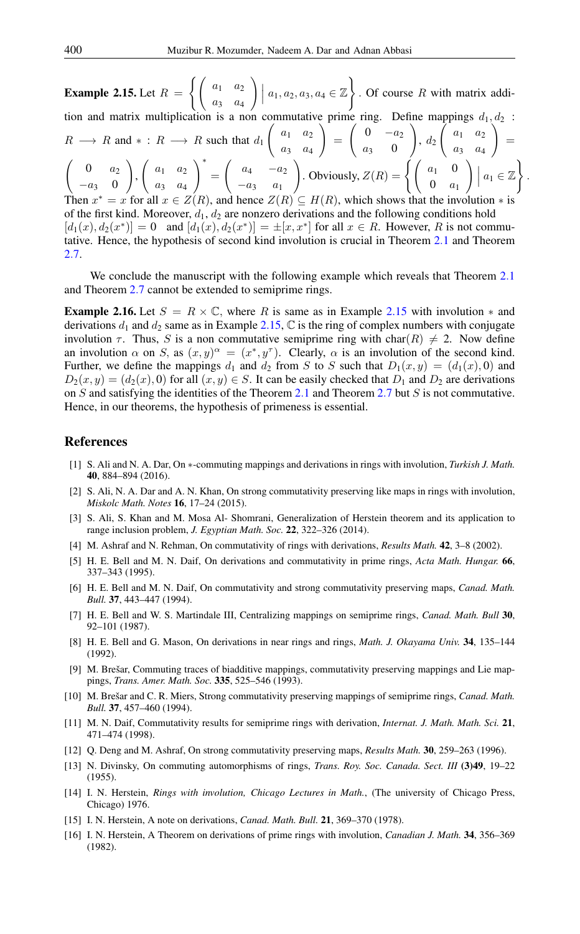<span id="page-6-17"></span>**Example 2.15.** Let  $R =$  $\int\int a_1 \, a_2$  $a_3 \quad a_4$  $\Bigg) \Big\vert\ a_1, a_2, a_3, a_4 \in \mathbb{Z} \Bigg\}$ . Of course  $R$  with matrix addition and matrix multiplication is a non commutative prime ring. Define mappings  $d_1, d_2$ :  $R \longrightarrow R$  and  $* : R \longrightarrow R$  such that  $d_1$  $\int a_1 \ a_2$ a<sup>3</sup> a<sup>4</sup>  $\setminus$ =  $\sqrt{ }$  $a_2$ <sub>0</sub>  $a_3$  $\setminus$  $d_2\,$  $\sqrt{ }$  $a_1 \quad a_2$  $a_3$  $\setminus$ =  $\begin{pmatrix} 0 & a_2 \end{pmatrix}$   $\begin{pmatrix} a_1 & a_2 \end{pmatrix}^*$  $-a_3$  0 ,  $a_1 \quad a_2$  $a_3 \quad a_4$ =  $\begin{pmatrix} a_4 & -a_2 \end{pmatrix}$  $-a_3$   $a_1$  $\bigg)$ . Obviously,  $Z(R) = \begin{cases} \begin{pmatrix} a_1 & 0 \\ 0 & \end{pmatrix}$  $0 \quad a_1$  $\setminus$  $\overline{\phantom{a}}$  $\overline{\phantom{a}}$  $a_1 \in \mathbb{Z}$  $\lambda$ . Then  $x^* = x$  for all  $x \in Z(R)$ , and hence  $Z(R) \subseteq H(R)$ , which shows that the involution  $*$  is of the first kind. Moreover,  $d_1, d_2$  are nonzero derivations and the following conditions hold  $[d_1(x), d_2(x^*)] = 0$  and  $[d_1(x), d_2(x^*)] = \pm [x, x^*]$  for all  $x \in R$ . However, R is not commutative. Hence, the hypothesis of second kind involution is crucial in Theorem [2](#page-1-4).1 and Theorem 2.[7.](#page-3-4)

We conclude the manuscript with the following example which reveals that Theorem [2](#page-1-4).1 and Theorem [2](#page-3-4).7 cannot be extended to semiprime rings.

**Example 2.16.** Let  $S = R \times \mathbb{C}$ , where R is same as in Example [2.15](#page-6-17) with involution  $*$  and derivations  $d_1$  and  $d_2$  same as in Example [2.15,](#page-6-17)  $\mathbb C$  is the ring of complex numbers with conjugate involution  $\tau$ . Thus, S is a non commutative semiprime ring with char(R)  $\neq$  2. Now define an involution  $\alpha$  on S, as  $(x, y)^{\alpha} = (x^*, y^{\tau})$ . Clearly,  $\alpha$  is an involution of the second kind. Further, we define the mappings  $d_1$  and  $d_2$  from S to S such that  $D_1(x, y) = (d_1(x), 0)$  and  $D_2(x, y) = (d_2(x), 0)$  for all  $(x, y) \in S$ . It can be easily checked that  $D_1$  and  $D_2$  are derivations on  $S$  and satisfying the identities of the Theorem [2](#page-3-4).1 and Theorem 2.7 but  $S$  is not commutative. Hence, in our theorems, the hypothesis of primeness is essential.

### <span id="page-6-0"></span>References

- <span id="page-6-14"></span>[1] S. Ali and N. A. Dar, On ∗-commuting mappings and derivations in rings with involution, *Turkish J. Math.* 40, 884–894 (2016).
- <span id="page-6-16"></span>[2] S. Ali, N. A. Dar and A. N. Khan, On strong commutativity preserving like maps in rings with involution, *Miskolc Math. Notes* 16, 17–24 (2015).
- <span id="page-6-15"></span>[3] S. Ali, S. Khan and M. Mosa Al- Shomrani, Generalization of Herstein theorem and its application to range inclusion problem, *J. Egyptian Math. Soc.* 22, 322–326 (2014).
- <span id="page-6-3"></span>[4] M. Ashraf and N. Rehman, On commutativity of rings with derivations, *Results Math.* 42, 3–8 (2002).
- <span id="page-6-4"></span>[5] H. E. Bell and M. N. Daif, On derivations and commutativity in prime rings, *Acta Math. Hungar.* 66, 337–343 (1995).
- <span id="page-6-5"></span>[6] H. E. Bell and M. N. Daif, On commutativity and strong commutativity preserving maps, *Canad. Math. Bull.* 37, 443–447 (1994).
- <span id="page-6-6"></span>[7] H. E. Bell and W. S. Martindale III, Centralizing mappings on semiprime rings, *Canad. Math. Bull* 30, 92–101 (1987).
- <span id="page-6-12"></span>[8] H. E. Bell and G. Mason, On derivations in near rings and rings, *Math. J. Okayama Univ.* 34, 135–144 (1992).
- <span id="page-6-11"></span>[9] M. Brešar, Commuting traces of biadditive mappings, commutativity preserving mappings and Lie mappings, *Trans. Amer. Math. Soc.* 335, 525–546 (1993).
- <span id="page-6-7"></span>[10] M. Brešar and C. R. Miers, Strong commutativity preserving mappings of semiprime rings, *Canad. Math. Bull.* 37, 457–460 (1994).
- <span id="page-6-9"></span>[11] M. N. Daif, Commutativity results for semiprime rings with derivation, *Internat. J. Math. Math. Sci.* 21, 471–474 (1998).
- <span id="page-6-13"></span>[12] Q. Deng and M. Ashraf, On strong commutativity preserving maps, *Results Math.* 30, 259–263 (1996).
- <span id="page-6-2"></span>[13] N. Divinsky, On commuting automorphisms of rings, *Trans. Roy. Soc. Canada. Sect. III* (3)49, 19–22 (1955).
- <span id="page-6-1"></span>[14] I. N. Herstein, *Rings with involution, Chicago Lectures in Math.*, (The university of Chicago Press, Chicago) 1976.
- <span id="page-6-8"></span>[15] I. N. Herstein, A note on derivations, *Canad. Math. Bull.* 21, 369–370 (1978).
- <span id="page-6-10"></span>[16] I. N. Herstein, A Theorem on derivations of prime rings with involution, *Canadian J. Math.* 34, 356–369 (1982).